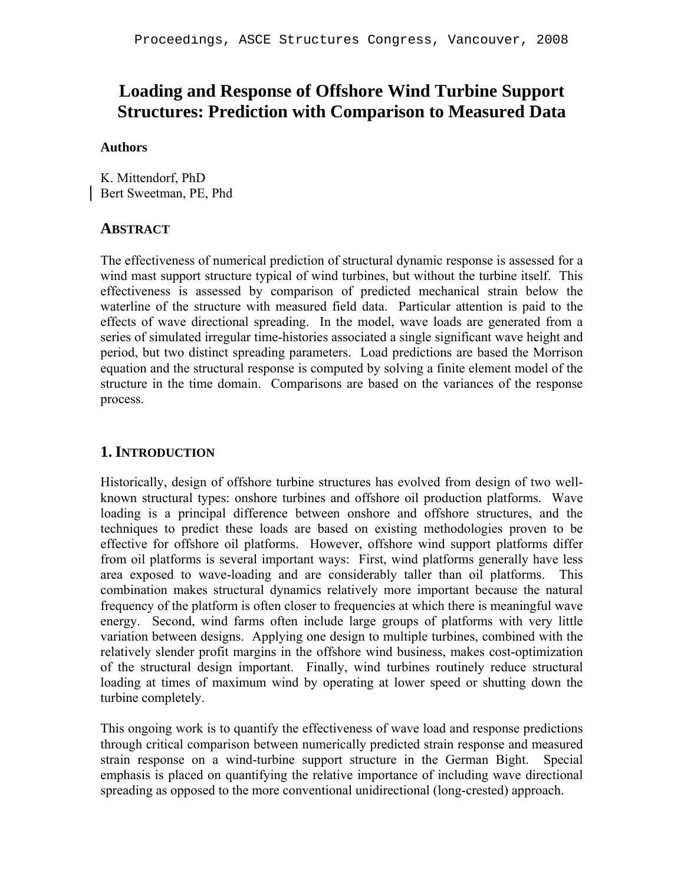# **Loading and Response of Offshore Wind Turbine Support Structures: Prediction with Comparison to Measured Data**

#### **Authors**

K. Mittendorf, PhD Bert Sweetman, PE, Phd

#### **ABSTRACT**

The effectiveness of numerical prediction of structural dynamic response is assessed for a wind mast support structure typical of wind turbines, but without the turbine itself. This effectiveness is assessed by comparison of predicted mechanical strain below the waterline of the structure with measured field data. Particular attention is paid to the effects of wave directional spreading. In the model, wave loads are generated from a series of simulated irregular time-histories associated a single significant wave height and period, but two distinct spreading parameters. Load predictions are based the Morrison equation and the structural response is computed by solving a finite element model of the structure in the time domain. Comparisons are based on the variances of the response process.

# **1. INTRODUCTION**

Historically, design of offshore turbine structures has evolved from design of two wellknown structural types: onshore turbines and offshore oil production platforms. Wave loading is a principal difference between onshore and offshore structures, and the techniques to predict these loads are based on existing methodologies proven to be effective for offshore oil platforms. However, offshore wind support platforms differ from oil platforms is several important ways: First, wind platforms generally have less area exposed to wave-loading and are considerably taller than oil platforms. This combination makes structural dynamics relatively more important because the natural frequency of the platform is often closer to frequencies at which there is meaningful wave energy. Second, wind farms often include large groups of platforms with very little variation between designs. Applying one design to multiple turbines, combined with the relatively slender profit margins in the offshore wind business, makes cost-optimization of the structural design important. Finally, wind turbines routinely reduce structural loading at times of maximum wind by operating at lower speed or shutting down the turbine completely.

This ongoing work is to quantify the effectiveness of wave load and response predictions through critical comparison between numerically predicted strain response and measured strain response on a wind-turbine support structure in the German Bight. Special emphasis is placed on quantifying the relative importance of including wave directional spreading as opposed to the more conventional unidirectional (long-crested) approach.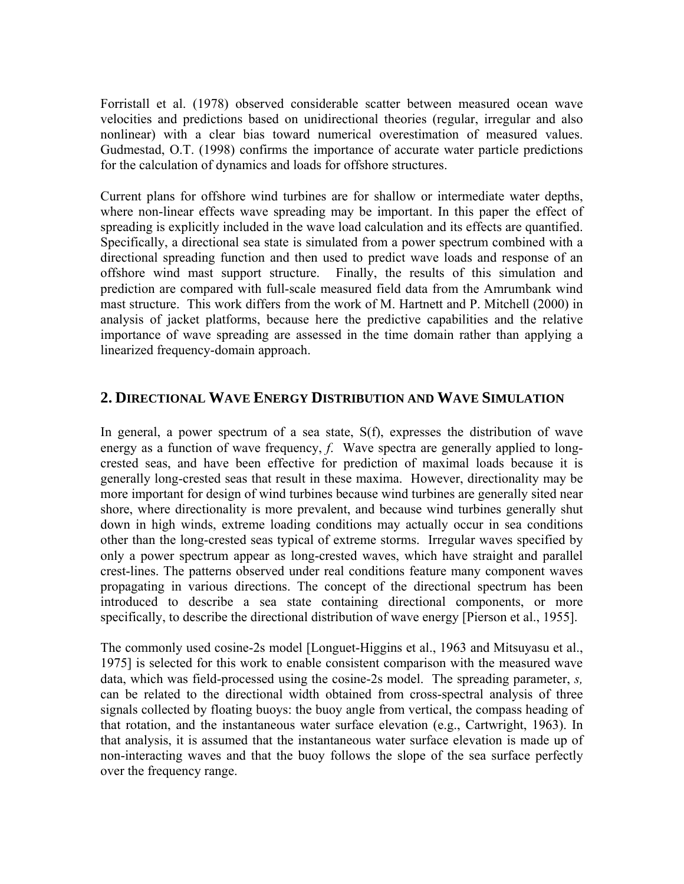Forristall et al. (1978) observed considerable scatter between measured ocean wave velocities and predictions based on unidirectional theories (regular, irregular and also nonlinear) with a clear bias toward numerical overestimation of measured values. Gudmestad, O.T. (1998) confirms the importance of accurate water particle predictions for the calculation of dynamics and loads for offshore structures.

Current plans for offshore wind turbines are for shallow or intermediate water depths, where non-linear effects wave spreading may be important. In this paper the effect of spreading is explicitly included in the wave load calculation and its effects are quantified. Specifically, a directional sea state is simulated from a power spectrum combined with a directional spreading function and then used to predict wave loads and response of an offshore wind mast support structure. Finally, the results of this simulation and prediction are compared with full-scale measured field data from the Amrumbank wind mast structure. This work differs from the work of M. Hartnett and P. Mitchell (2000) in analysis of jacket platforms, because here the predictive capabilities and the relative importance of wave spreading are assessed in the time domain rather than applying a linearized frequency-domain approach.

# **2. DIRECTIONAL WAVE ENERGY DISTRIBUTION AND WAVE SIMULATION**

In general, a power spectrum of a sea state, S(f), expresses the distribution of wave energy as a function of wave frequency, *f*. Wave spectra are generally applied to longcrested seas, and have been effective for prediction of maximal loads because it is generally long-crested seas that result in these maxima. However, directionality may be more important for design of wind turbines because wind turbines are generally sited near shore, where directionality is more prevalent, and because wind turbines generally shut down in high winds, extreme loading conditions may actually occur in sea conditions other than the long-crested seas typical of extreme storms. Irregular waves specified by only a power spectrum appear as long-crested waves, which have straight and parallel crest-lines. The patterns observed under real conditions feature many component waves propagating in various directions. The concept of the directional spectrum has been introduced to describe a sea state containing directional components, or more specifically, to describe the directional distribution of wave energy [Pierson et al., 1955].

The commonly used cosine-2s model [Longuet-Higgins et al., 1963 and Mitsuyasu et al., 1975] is selected for this work to enable consistent comparison with the measured wave data, which was field-processed using the cosine-2s model. The spreading parameter, *s,* can be related to the directional width obtained from cross-spectral analysis of three signals collected by floating buoys: the buoy angle from vertical, the compass heading of that rotation, and the instantaneous water surface elevation (e.g., Cartwright, 1963). In that analysis, it is assumed that the instantaneous water surface elevation is made up of non-interacting waves and that the buoy follows the slope of the sea surface perfectly over the frequency range.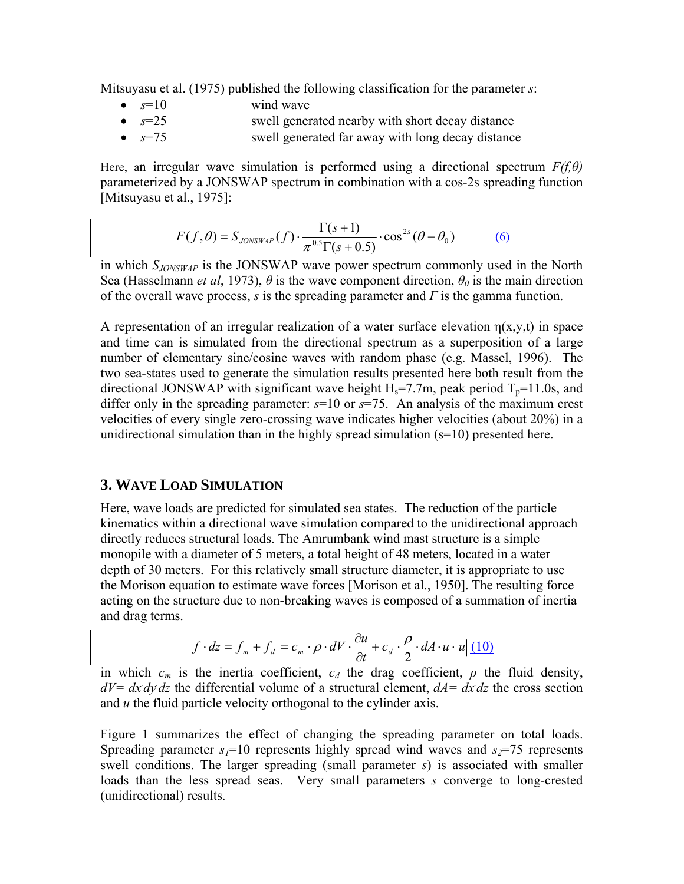Mitsuyasu et al. (1975) published the following classification for the parameter *s*:

- $s=10$  wind wave
- *s*=25 swell generated nearby with short decay distance
- *s*=75 swell generated far away with long decay distance

Here, an irregular wave simulation is performed using a directional spectrum  $F(f, \theta)$ parameterized by a JONSWAP spectrum in combination with a cos-2s spreading function [Mitsuyasu et al., 1975]:

$$
F(f, \theta) = S_{JONSWAP}(f) \cdot \frac{\Gamma(s+1)}{\pi^{0.5} \Gamma(s+0.5)} \cdot \cos^{2s}(\theta - \theta_0) \underline{\hspace{2cm} (6)}
$$

in which *SJONSWAP* is the JONSWAP wave power spectrum commonly used in the North Sea (Hasselmann *et al.* 1973),  $\theta$  is the wave component direction,  $\theta_0$  is the main direction of the overall wave process, *s* is the spreading parameter and *Γ* is the gamma function.

A representation of an irregular realization of a water surface elevation  $\eta(x,y,t)$  in space and time can is simulated from the directional spectrum as a superposition of a large number of elementary sine/cosine waves with random phase (e.g. Massel, 1996). The two sea-states used to generate the simulation results presented here both result from the directional JONSWAP with significant wave height  $H_s = 7.7$ m, peak period  $T_p = 11.0$ s, and differ only in the spreading parameter: *s*=10 or *s*=75. An analysis of the maximum crest velocities of every single zero-crossing wave indicates higher velocities (about 20%) in a unidirectional simulation than in the highly spread simulation  $(s=10)$  presented here.

# **3. WAVE LOAD SIMULATION**

Here, wave loads are predicted for simulated sea states. The reduction of the particle kinematics within a directional wave simulation compared to the unidirectional approach directly reduces structural loads. The Amrumbank wind mast structure is a simple monopile with a diameter of 5 meters, a total height of 48 meters, located in a water depth of 30 meters. For this relatively small structure diameter, it is appropriate to use the Morison equation to estimate wave forces [Morison et al., 1950]. The resulting force acting on the structure due to non-breaking waves is composed of a summation of inertia and drag terms.

$$
f \cdot dz = f_m + f_d = c_m \cdot \rho \cdot dV \cdot \frac{\partial u}{\partial t} + c_d \cdot \frac{\rho}{2} \cdot dA \cdot u \cdot |u| \cdot (10)
$$

in which  $c_m$  is the inertia coefficient,  $c_d$  the drag coefficient,  $\rho$  the fluid density,  $dV = dx dy dz$  the differential volume of a structural element,  $dA = dx dz$  the cross section and *u* the fluid particle velocity orthogonal to the cylinder axis.

Figure 1 summarizes the effect of changing the spreading parameter on total loads. Spreading parameter  $s_1=10$  represents highly spread wind waves and  $s_2=75$  represents swell conditions. The larger spreading (small parameter *s*) is associated with smaller loads than the less spread seas. Very small parameters *s* converge to long-crested (unidirectional) results.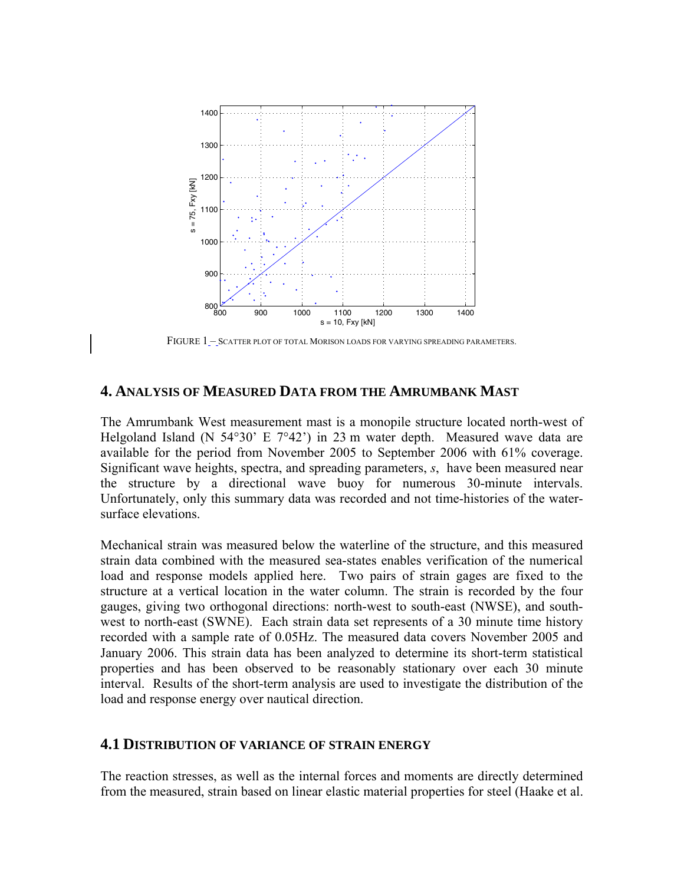

FIGURE 1-SCATTER PLOT OF TOTAL MORISON LOADS FOR VARYING SPREADING PARAMETERS.

#### **4. ANALYSIS OF MEASURED DATA FROM THE AMRUMBANK MAST**

The Amrumbank West measurement mast is a monopile structure located north-west of Helgoland Island (N 54°30' E 7°42') in 23 m water depth. Measured wave data are available for the period from November 2005 to September 2006 with 61% coverage. Significant wave heights, spectra, and spreading parameters, *s*, have been measured near the structure by a directional wave buoy for numerous 30-minute intervals. Unfortunately, only this summary data was recorded and not time-histories of the watersurface elevations.

Mechanical strain was measured below the waterline of the structure, and this measured strain data combined with the measured sea-states enables verification of the numerical load and response models applied here. Two pairs of strain gages are fixed to the structure at a vertical location in the water column. The strain is recorded by the four gauges, giving two orthogonal directions: north-west to south-east (NWSE), and southwest to north-east (SWNE). Each strain data set represents of a 30 minute time history recorded with a sample rate of 0.05Hz. The measured data covers November 2005 and January 2006. This strain data has been analyzed to determine its short-term statistical properties and has been observed to be reasonably stationary over each 30 minute interval. Results of the short-term analysis are used to investigate the distribution of the load and response energy over nautical direction.

#### **4.1 DISTRIBUTION OF VARIANCE OF STRAIN ENERGY**

The reaction stresses, as well as the internal forces and moments are directly determined from the measured, strain based on linear elastic material properties for steel (Haake et al.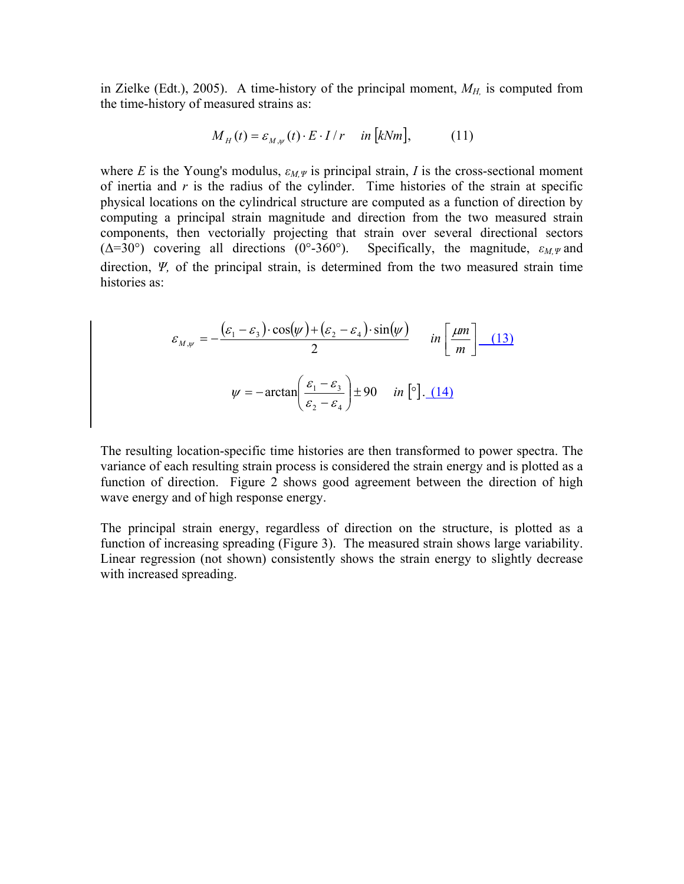in Zielke (Edt.), 2005). A time-history of the principal moment,  $M_H$ , is computed from the time-history of measured strains as:

$$
M_H(t) = \varepsilon_{M,\psi}(t) \cdot E \cdot I/r \quad \text{in [kNm]}, \tag{11}
$$

where *E* is the Young's modulus,  $\varepsilon_{M,\Psi}$  is principal strain, *I* is the cross-sectional moment of inertia and  $r$  is the radius of the cylinder. Time histories of the strain at specific physical locations on the cylindrical structure are computed as a function of direction by computing a principal strain magnitude and direction from the two measured strain components, then vectorially projecting that strain over several directional sectors ( $\Delta = 30^{\circ}$ ) covering all directions (0°-360°). Specifically, the magnitude,  $\epsilon_{M,\Psi}$  and direction, *Ψ,* of the principal strain, is determined from the two measured strain time histories as:

$$
\varepsilon_{M,\psi} = -\frac{(\varepsilon_1 - \varepsilon_3) \cdot \cos(\psi) + (\varepsilon_2 - \varepsilon_4) \cdot \sin(\psi)}{2} \qquad in \left[\frac{\mu m}{m}\right] \tag{13}
$$

$$
\psi = -\arctan\left(\frac{\varepsilon_1 - \varepsilon_3}{\varepsilon_2 - \varepsilon_4}\right) \pm 90 \qquad in \left[\text{°}\right] \tag{14}
$$

The resulting location-specific time histories are then transformed to power spectra. The variance of each resulting strain process is considered the strain energy and is plotted as a function of direction. Figure 2 shows good agreement between the direction of high wave energy and of high response energy.

The principal strain energy, regardless of direction on the structure, is plotted as a function of increasing spreading (Figure 3). The measured strain shows large variability. Linear regression (not shown) consistently shows the strain energy to slightly decrease with increased spreading.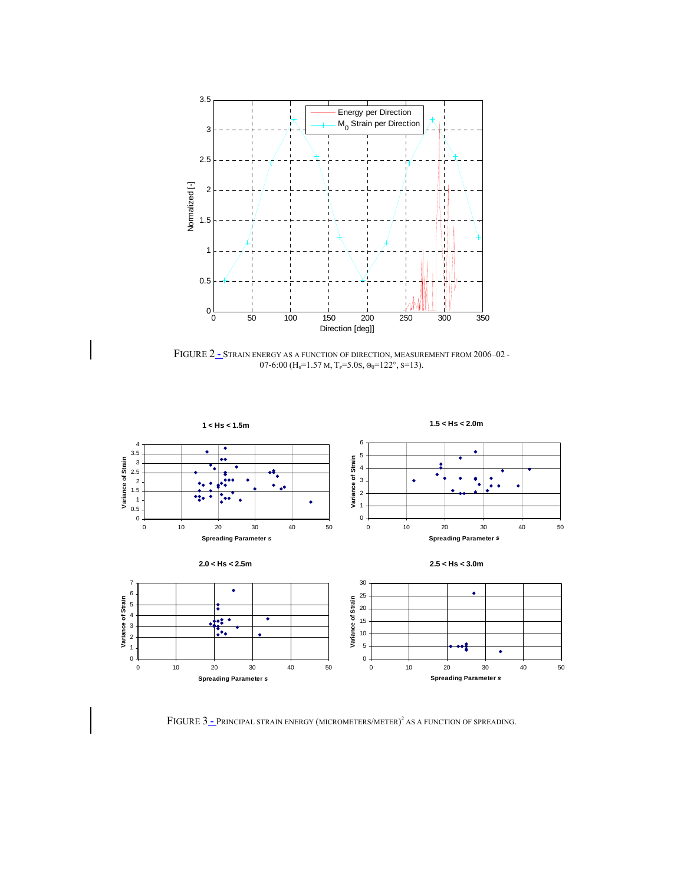

FIGURE 2 - STRAIN ENERGY AS A FUNCTION OF DIRECTION, MEASUREMENT FROM 2006-02 - $07-6:00$  (H<sub>s</sub>=1.57 M, T<sub>P</sub>=5.0S,  $\Theta_0$ =122°, s=13).



FIGURE 3 - PRINCIPAL STRAIN ENERGY (MICROMETERS/METER)<sup>2</sup> AS A FUNCTION OF SPREADING.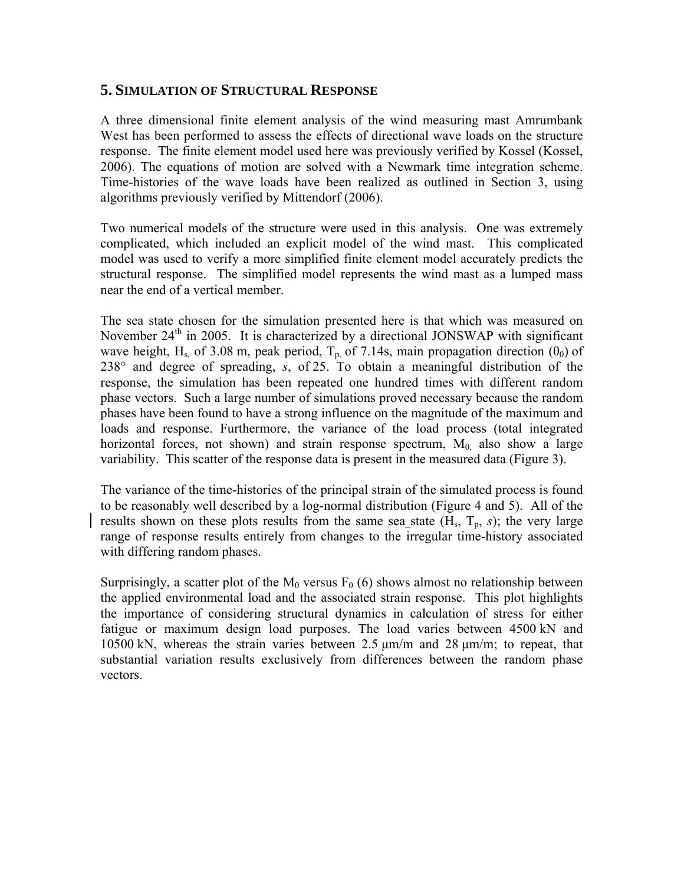# **5. SIMULATION OF STRUCTURAL RESPONSE**

A three dimensional finite element analysis of the wind measuring mast Amrumbank West has been performed to assess the effects of directional wave loads on the structure response. The finite element model used here was previously verified by Kossel (Kossel, 2006). The equations of motion are solved with a Newmark time integration scheme. Time-histories of the wave loads have been realized as outlined in Section 3, using algorithms previously verified by Mittendorf (2006).

Two numerical models of the structure were used in this analysis. One was extremely complicated, which included an explicit model of the wind mast. This complicated model was used to verify a more simplified finite element model accurately predicts the structural response. The simplified model represents the wind mast as a lumped mass near the end of a vertical member.

The sea state chosen for the simulation presented here is that which was measured on November 24<sup>th</sup> in 2005. It is characterized by a directional JONSWAP with significant wave height, H<sub>s</sub> of 3.08 m, peak period, T<sub>p</sub> of 7.14s, main propagation direction ( $\theta_0$ ) of 238° and degree of spreading, *s*, of 25. To obtain a meaningful distribution of the response, the simulation has been repeated one hundred times with different random phase vectors. Such a large number of simulations proved necessary because the random phases have been found to have a strong influence on the magnitude of the maximum and loads and response. Furthermore, the variance of the load process (total integrated horizontal forces, not shown) and strain response spectrum,  $M_0$  also show a large variability. This scatter of the response data is present in the measured data (Figure 3).

The variance of the time-histories of the principal strain of the simulated process is found to be reasonably well described by a log-normal distribution [\(Figure 4](#page-7-0) and 5). All of the results shown on these plots results from the same sea\_state  $(H_s, T_p, s)$ ; the very large range of response results entirely from changes to the irregular time-history associated with differing random phases.

Surprisingly, a scatter plot of the  $M_0$  versus  $F_0$  (6) shows almost no relationship between the applied environmental load and the associated strain response. This plot highlights the importance of considering structural dynamics in calculation of stress for either fatigue or maximum design load purposes. The load varies between 4500 kN and 10500 kN, whereas the strain varies between 2.5 μm/m and 28 μm/m; to repeat, that substantial variation results exclusively from differences between the random phase vectors.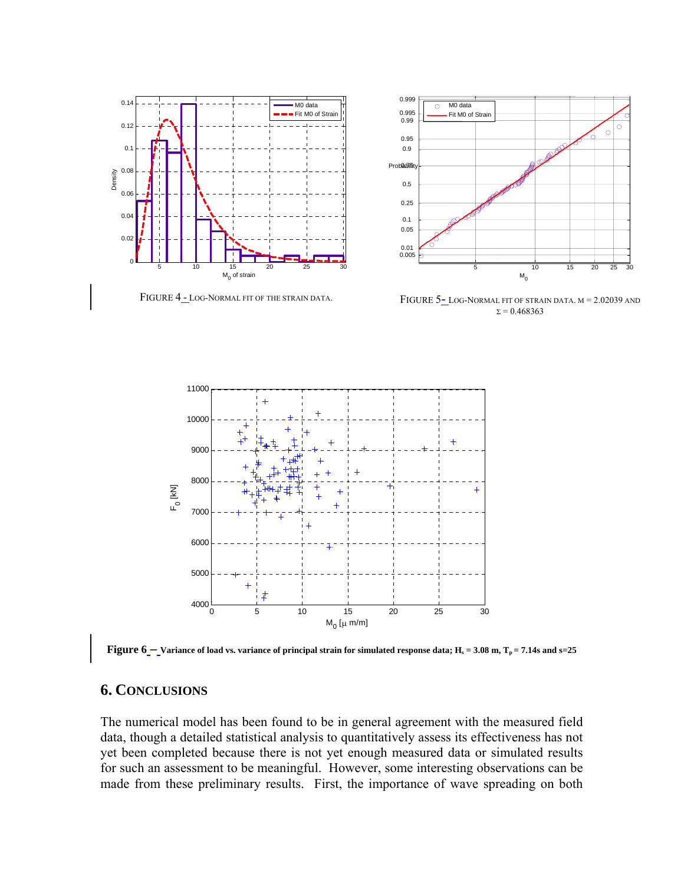<span id="page-7-0"></span>

Figure 6<sup>–</sup> Variance of load vs. variance of principal strain for simulated response data; H<sub>s</sub> = 3.08 m, T<sub>p</sub> = 7.14s and s=25

0 5 10 15 20 25 30

 $M_0$  [ $\mu$  m/m]

## **6. CONCLUSIONS**

 $4000\frac{1}{0}$ 

5000

The numerical model has been found to be in general agreement with the measured field data, though a detailed statistical analysis to quantitatively assess its effectiveness has not yet been completed because there is not yet enough measured data or simulated results for such an assessment to be meaningful. However, some interesting observations can be made from these preliminary results. First, the importance of wave spreading on both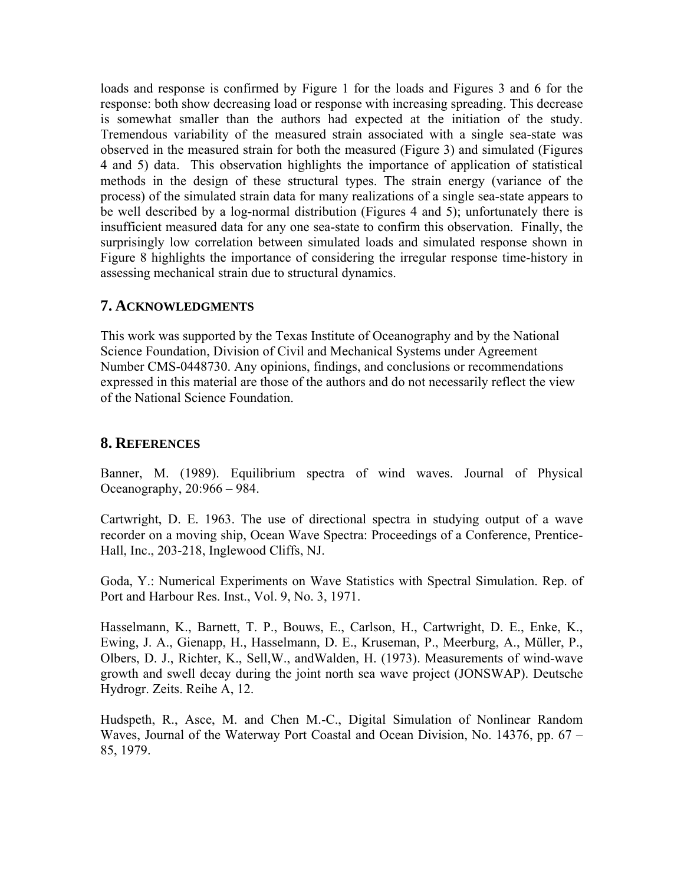loads and response is confirmed by Figure 1 for the loads and Figures 3 and 6 for the response: both show decreasing load or response with increasing spreading. This decrease is somewhat smaller than the authors had expected at the initiation of the study. Tremendous variability of the measured strain associated with a single sea-state was observed in the measured strain for both the measured (Figure 3) and simulated (Figures 4 and 5) data. This observation highlights the importance of application of statistical methods in the design of these structural types. The strain energy (variance of the process) of the simulated strain data for many realizations of a single sea-state appears to be well described by a log-normal distribution (Figures 4 and 5); unfortunately there is insufficient measured data for any one sea-state to confirm this observation. Finally, the surprisingly low correlation between simulated loads and simulated response shown in Figure 8 highlights the importance of considering the irregular response time-history in assessing mechanical strain due to structural dynamics.

# **7. ACKNOWLEDGMENTS**

This work was supported by the Texas Institute of Oceanography and by the National Science Foundation, Division of Civil and Mechanical Systems under Agreement Number CMS-0448730. Any opinions, findings, and conclusions or recommendations expressed in this material are those of the authors and do not necessarily reflect the view of the National Science Foundation.

# **8. REFERENCES**

Banner, M. (1989). Equilibrium spectra of wind waves. Journal of Physical Oceanography, 20:966 – 984.

Cartwright, D. E. 1963. The use of directional spectra in studying output of a wave recorder on a moving ship, Ocean Wave Spectra: Proceedings of a Conference, Prentice-Hall, Inc., 203-218, Inglewood Cliffs, NJ.

Goda, Y.: Numerical Experiments on Wave Statistics with Spectral Simulation. Rep. of Port and Harbour Res. Inst., Vol. 9, No. 3, 1971.

Hasselmann, K., Barnett, T. P., Bouws, E., Carlson, H., Cartwright, D. E., Enke, K., Ewing, J. A., Gienapp, H., Hasselmann, D. E., Kruseman, P., Meerburg, A., Müller, P., Olbers, D. J., Richter, K., Sell,W., andWalden, H. (1973). Measurements of wind-wave growth and swell decay during the joint north sea wave project (JONSWAP). Deutsche Hydrogr. Zeits. Reihe A, 12.

Hudspeth, R., Asce, M. and Chen M.-C., Digital Simulation of Nonlinear Random Waves, Journal of the Waterway Port Coastal and Ocean Division, No. 14376, pp. 67 – 85, 1979.